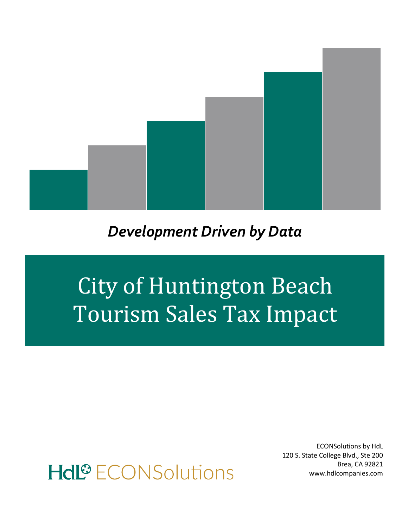

## *Development Driven by Data*

# City of Huntington Beach Tourism Sales Tax Impact

ECONSolutions by HdL 120 S. State College Blvd., Ste 200 Brea, CA 92821 www.hdlcompanies.com

# Hdl<sup>®</sup> ECONSolutions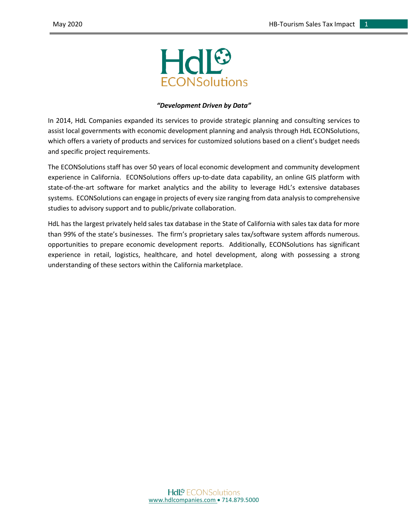

#### *"Development Driven by Data"*

In 2014, HdL Companies expanded its services to provide strategic planning and consulting services to assist local governments with economic development planning and analysis through HdL ECONSolutions, which offers a variety of products and services for customized solutions based on a client's budget needs and specific project requirements.

The ECONSolutions staff has over 50 years of local economic development and community development experience in California. ECONSolutions offers up-to-date data capability, an online GIS platform with state-of-the-art software for market analytics and the ability to leverage HdL's extensive databases systems. ECONSolutions can engage in projects of every size ranging from data analysis to comprehensive studies to advisory support and to public/private collaboration.

HdL has the largest privately held sales tax database in the State of California with sales tax data for more than 99% of the state's businesses. The firm's proprietary sales tax/software system affords numerous. opportunities to prepare economic development reports. Additionally, ECONSolutions has significant experience in retail, logistics, healthcare, and hotel development, along with possessing a strong understanding of these sectors within the California marketplace.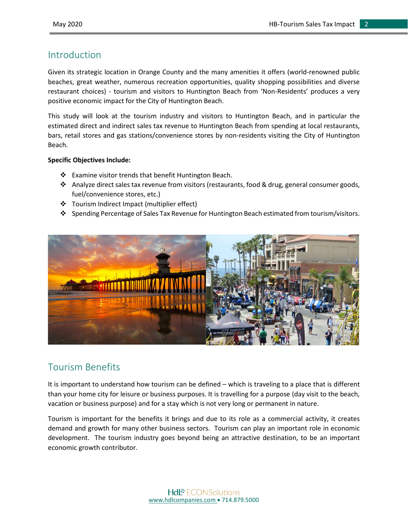#### Introduction

Given its strategic location in Orange County and the many amenities it offers (world-renowned public beaches, great weather, numerous recreation opportunities, quality shopping possibilities and diverse restaurant choices) - tourism and visitors to Huntington Beach from 'Non-Residents' produces a very positive economic impact for the City of Huntington Beach.

This study will look at the tourism industry and visitors to Huntington Beach, and in particular the estimated direct and indirect sales tax revenue to Huntington Beach from spending at local restaurants, bars, retail stores and gas stations/convenience stores by non-residents visiting the City of Huntington Beach.

#### **Specific Objectives Include:**

- ❖ Examine visitor trends that benefit Huntington Beach.
- $\cdot$  Analyze direct sales tax revenue from visitors (restaurants, food & drug, general consumer goods, fuel/convenience stores, etc.)
- Tourism Indirect Impact (multiplier effect)
- Spending Percentage of Sales Tax Revenue for Huntington Beach estimated from tourism/visitors.



#### Tourism Benefits

It is important to understand how tourism can be defined – which is traveling to a place that is different than your home city for leisure or business purposes. It is travelling for a purpose (day visit to the beach, vacation or business purpose) and for a stay which is not very long or permanent in nature.

Tourism is important for the benefits it brings and due to its role as a commercial activity, it creates demand and growth for many other business sectors. Tourism can play an important role in economic development. The tourism industry goes beyond being an attractive destination, to be an important economic growth contributor.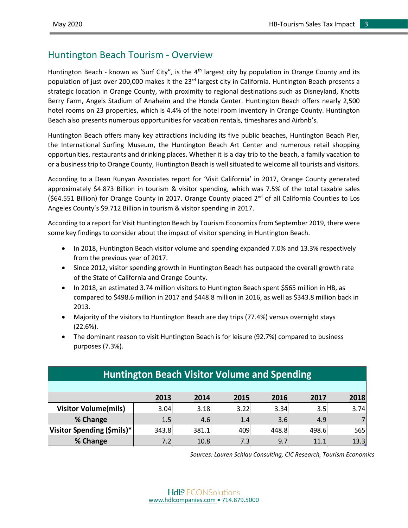#### Huntington Beach Tourism - Overview

Huntington Beach - known as 'Surf City", is the  $4<sup>th</sup>$  largest city by population in Orange County and its population of just over 200,000 makes it the 23<sup>rd</sup> largest city in California. Huntington Beach presents a strategic location in Orange County, with proximity to regional destinations such as Disneyland, Knotts Berry Farm, Angels Stadium of Anaheim and the Honda Center. Huntington Beach offers nearly 2,500 hotel rooms on 23 properties, which is 4.4% of the hotel room inventory in Orange County. Huntington Beach also presents numerous opportunities for vacation rentals, timeshares and Airbnb's.

Huntington Beach offers many key attractions including its five public beaches, Huntington Beach Pier, the International Surfing Museum, the Huntington Beach Art Center and numerous retail shopping opportunities, restaurants and drinking places. Whether it is a day trip to the beach, a family vacation to or a business trip to Orange County, Huntington Beach is well situated to welcome all tourists and visitors.

According to a Dean Runyan Associates report for 'Visit California' in 2017, Orange County generated approximately \$4.873 Billion in tourism & visitor spending, which was 7.5% of the total taxable sales  $(S64.551$  Billion) for Orange County in 2017. Orange County placed  $2<sup>nd</sup>$  of all California Counties to Los Angeles County's \$9.712 Billion in tourism & visitor spending in 2017.

According to a report for Visit Huntington Beach by Tourism Economics from September 2019, there were some key findings to consider about the impact of visitor spending in Huntington Beach.

- In 2018, Huntington Beach visitor volume and spending expanded 7.0% and 13.3% respectively from the previous year of 2017.
- Since 2012, visitor spending growth in Huntington Beach has outpaced the overall growth rate of the State of California and Orange County.
- In 2018, an estimated 3.74 million visitors to Huntington Beach spent \$565 million in HB, as compared to \$498.6 million in 2017 and \$448.8 million in 2016, as well as \$343.8 million back in 2013.
- Majority of the visitors to Huntington Beach are day trips (77.4%) versus overnight stays (22.6%).
- The dominant reason to visit Huntington Beach is for leisure (92.7%) compared to business purposes (7.3%).

| <b>Huntington Beach Visitor Volume and Spending</b> |       |       |      |       |       |      |
|-----------------------------------------------------|-------|-------|------|-------|-------|------|
|                                                     |       |       |      |       |       |      |
|                                                     | 2013  | 2014  | 2015 | 2016  | 2017  | 2018 |
| <b>Visitor Volume(mils)</b>                         | 3.04  | 3.18  | 3.22 | 3.34  | 3.5   | 3.74 |
| % Change                                            | 1.5   | 4.6   | 1.4  | 3.6   | 4.9   |      |
| Visitor Spending (\$mils)*                          | 343.8 | 381.1 | 409  | 448.8 | 498.6 | 565  |
| % Change                                            | 7.2   | 10.8  | 7.3  | 9.7   | 11.1  | 13.3 |

*Sources: Lauren Schlau Consulting, CIC Research, Tourism Economics*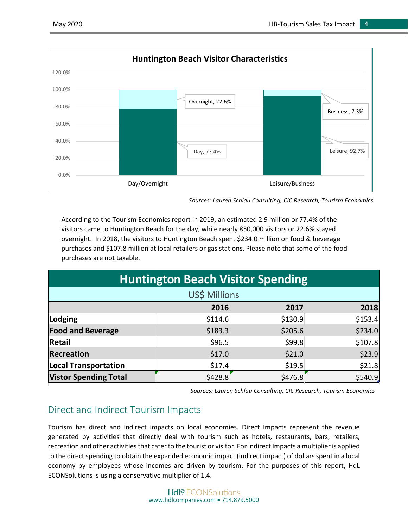

*Sources: Lauren Schlau Consulting, CIC Research, Tourism Economics*

According to the Tourism Economics report in 2019, an estimated 2.9 million or 77.4% of the visitors came to Huntington Beach for the day, while nearly 850,000 visitors or 22.6% stayed overnight. In 2018, the visitors to Huntington Beach spent \$234.0 million on food & beverage purchases and \$107.8 million at local retailers or gas stations. Please note that some of the food purchases are not taxable.

| <b>Huntington Beach Visitor Spending</b> |         |         |          |  |
|------------------------------------------|---------|---------|----------|--|
| US\$ Millions                            |         |         |          |  |
|                                          | 2016    | 2017    | 2018     |  |
| Lodging                                  | \$114.6 | \$130.9 | \$153.4  |  |
| <b>Food and Beverage</b>                 | \$183.3 | \$205.6 | \$234.0  |  |
| <b>Retail</b>                            | \$96.5  | \$99.8  | \$107.8  |  |
| <b>Recreation</b>                        | \$17.0  | \$21.0  | \$23.9   |  |
| <b>Local Transportation</b>              | \$17.4  | \$19.5  | \$21.8   |  |
| <b>Vistor Spending Total</b>             | \$428.8 | \$476.8 | \$540.9] |  |

*Sources: Lauren Schlau Consulting, CIC Research, Tourism Economics*

#### Direct and Indirect Tourism Impacts

Tourism has direct and indirect impacts on local economies. Direct Impacts represent the revenue generated by activities that directly deal with tourism such as hotels, restaurants, bars, retailers, recreation and other activities that cater to the tourist or visitor. For Indirect Impacts a multiplier is applied to the direct spending to obtain the expanded economic impact (indirect impact) of dollars spent in a local economy by employees whose incomes are driven by tourism. For the purposes of this report, HdL ECONSolutions is using a conservative multiplier of 1.4.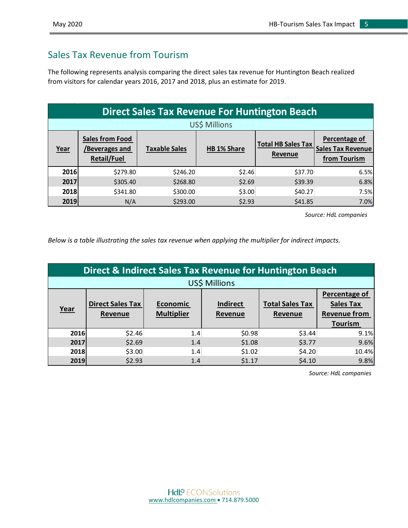### Sales Tax Revenue from Tourism

The following represents analysis comparing the direct sales tax revenue for Huntington Beach realized from visitors for calendar years 2016, 2017 and 2018, plus an estimate for 2019.

| <b>Direct Sales Tax Revenue For Huntington Beach</b> |                                                                |                      |                    |                                      |                                                                  |
|------------------------------------------------------|----------------------------------------------------------------|----------------------|--------------------|--------------------------------------|------------------------------------------------------------------|
| US\$ Millions                                        |                                                                |                      |                    |                                      |                                                                  |
| Year                                                 | <b>Sales from Food</b><br>/Beverages and<br><b>Retail/Fuel</b> | <b>Taxable Sales</b> | <b>HB 1% Share</b> | <b>Total HB Sales Tax</b><br>Revenue | <b>Percentage of</b><br><b>Sales Tax Revenue</b><br>from Tourism |
| 2016                                                 | \$279.80                                                       | \$246.20             | \$2.46             | \$37.70                              | 6.5%                                                             |
| 2017                                                 | \$305.40                                                       | \$268.80             | \$2.69             | \$39.39                              | 6.8%                                                             |
| 2018                                                 | \$341.80                                                       | \$300.00             | \$3.00             | \$40.27                              | 7.5%                                                             |
| 2019                                                 | N/A                                                            | \$293.00             | \$2.93             | \$41.85                              | 7.0%                                                             |

*Source: HdL companies*

*Below is a table illustrating the sales tax revenue when applying the multiplier for indirect impacts.*

| Direct & Indirect Sales Tax Revenue for Huntington Beach |                                    |                               |                            |                                   |                                                                            |
|----------------------------------------------------------|------------------------------------|-------------------------------|----------------------------|-----------------------------------|----------------------------------------------------------------------------|
| US\$ Millions                                            |                                    |                               |                            |                                   |                                                                            |
| Year                                                     | <b>Direct Sales Tax</b><br>Revenue | Economic<br><b>Multiplier</b> | <b>Indirect</b><br>Revenue | <b>Total Sales Tax</b><br>Revenue | Percentage of<br><b>Sales Tax</b><br><b>Revenue from</b><br><b>Tourism</b> |
| 2016                                                     | \$2.46                             | 1.4                           | \$0.98                     | \$3.44                            | 9.1%                                                                       |
| 2017                                                     | \$2.69                             | 1.4                           | \$1.08                     | \$3.77                            | 9.6%                                                                       |
| 2018                                                     | \$3.00                             | 1.4                           | \$1.02                     | \$4.20                            | 10.4%                                                                      |
| 2019                                                     | \$2.93                             | 1.4                           | \$1.17                     | \$4.10                            | 9.8%                                                                       |

*Source: HdL companies*